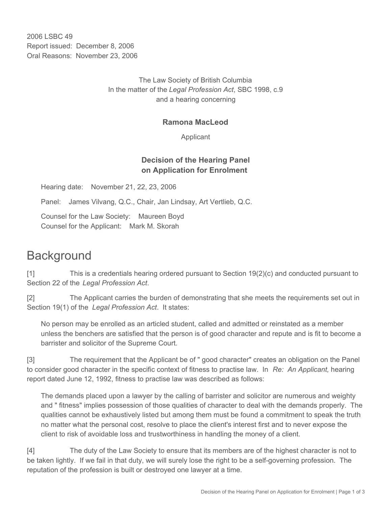2006 LSBC 49 Report issued: December 8, 2006 Oral Reasons: November 23, 2006

> The Law Society of British Columbia In the matter of the *Legal Profession Act*, SBC 1998, c.9 and a hearing concerning

#### **Ramona MacLeod**

Applicant

#### **Decision of the Hearing Panel on Application for Enrolment**

Hearing date: November 21, 22, 23, 2006

Panel: James Vilvang, Q.C., Chair, Jan Lindsay, Art Vertlieb, Q.C.

Counsel for the Law Society: Maureen Boyd Counsel for the Applicant: Mark M. Skorah

# **Background**

[1] This is a credentials hearing ordered pursuant to Section 19(2)(c) and conducted pursuant to Section 22 of the *Legal Profession Act*.

[2] The Applicant carries the burden of demonstrating that she meets the requirements set out in Section 19(1) of the *Legal Profession Act*. It states:

No person may be enrolled as an articled student, called and admitted or reinstated as a member unless the benchers are satisfied that the person is of good character and repute and is fit to become a barrister and solicitor of the Supreme Court.

[3] The requirement that the Applicant be of " good character" creates an obligation on the Panel to consider good character in the specific context of fitness to practise law. In *Re: An Applicant,* hearing report dated June 12, 1992, fitness to practise law was described as follows:

The demands placed upon a lawyer by the calling of barrister and solicitor are numerous and weighty and " fitness" implies possession of those qualities of character to deal with the demands properly. The qualities cannot be exhaustively listed but among them must be found a commitment to speak the truth no matter what the personal cost, resolve to place the client's interest first and to never expose the client to risk of avoidable loss and trustworthiness in handling the money of a client.

[4] The duty of the Law Society to ensure that its members are of the highest character is not to be taken lightly. If we fail in that duty, we will surely lose the right to be a self-governing profession. The reputation of the profession is built or destroyed one lawyer at a time.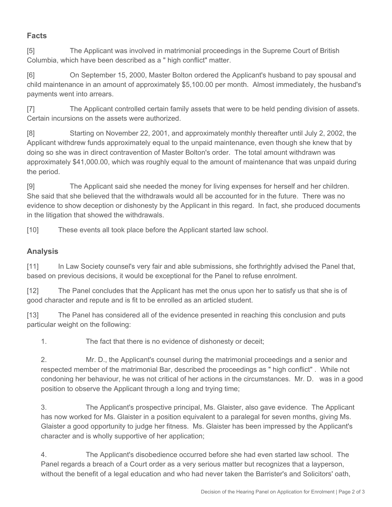### **Facts**

[5] The Applicant was involved in matrimonial proceedings in the Supreme Court of British Columbia, which have been described as a " high conflict" matter.

[6] On September 15, 2000, Master Bolton ordered the Applicant's husband to pay spousal and child maintenance in an amount of approximately \$5,100.00 per month. Almost immediately, the husband's payments went into arrears.

[7] The Applicant controlled certain family assets that were to be held pending division of assets. Certain incursions on the assets were authorized.

[8] Starting on November 22, 2001, and approximately monthly thereafter until July 2, 2002, the Applicant withdrew funds approximately equal to the unpaid maintenance, even though she knew that by doing so she was in direct contravention of Master Bolton's order. The total amount withdrawn was approximately \$41,000.00, which was roughly equal to the amount of maintenance that was unpaid during the period.

[9] The Applicant said she needed the money for living expenses for herself and her children. She said that she believed that the withdrawals would all be accounted for in the future. There was no evidence to show deception or dishonesty by the Applicant in this regard. In fact, she produced documents in the litigation that showed the withdrawals.

[10] These events all took place before the Applicant started law school.

## **Analysis**

[11] In Law Society counsel's very fair and able submissions, she forthrightly advised the Panel that, based on previous decisions, it would be exceptional for the Panel to refuse enrolment.

[12] The Panel concludes that the Applicant has met the onus upon her to satisfy us that she is of good character and repute and is fit to be enrolled as an articled student.

[13] The Panel has considered all of the evidence presented in reaching this conclusion and puts particular weight on the following:

1. The fact that there is no evidence of dishonesty or deceit;

2. Mr. D., the Applicant's counsel during the matrimonial proceedings and a senior and respected member of the matrimonial Bar, described the proceedings as " high conflict" . While not condoning her behaviour, he was not critical of her actions in the circumstances. Mr. D. was in a good position to observe the Applicant through a long and trying time;

3. The Applicant's prospective principal, Ms. Glaister, also gave evidence. The Applicant has now worked for Ms. Glaister in a position equivalent to a paralegal for seven months, giving Ms. Glaister a good opportunity to judge her fitness. Ms. Glaister has been impressed by the Applicant's character and is wholly supportive of her application;

4. The Applicant's disobedience occurred before she had even started law school. The Panel regards a breach of a Court order as a very serious matter but recognizes that a layperson, without the benefit of a legal education and who had never taken the Barrister's and Solicitors' oath,